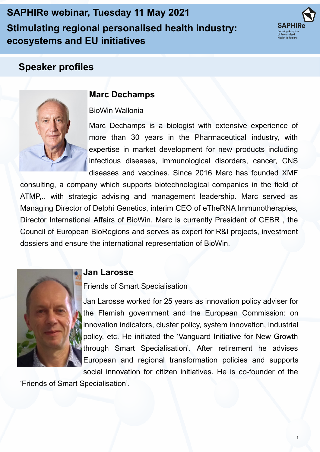**SAPHIRe webinar, Tuesday 11 May 2021 Stimulating regional personalised health industry: ecosystems and EU initiatives**



# **Speaker profiles**



## **Marc Dechamps**

#### BioWin Wallonia

Marc Dechamps is a biologist with extensive experience of more than 30 years in the Pharmaceutical industry, with expertise in market development for new products including infectious diseases, immunological disorders, cancer, CNS diseases and vaccines. Since 2016 Marc has founded XMF

consulting, a company which supports biotechnological companies in the field of ATMP,.. with strategic advising and management leadership. Marc served as Managing Director of Delphi Genetics, interim CEO of eTheRNA Immunotherapies, Director International Affairs of BioWin. Marc is currently President of CEBR , the Council of European BioRegions and serves as expert for R&I projects, investment dossiers and ensure the international representation of BioWin.



### **Jan Larosse**

Friends of Smart Specialisation

Jan Larosse worked for 25 years as innovation policy adviser for the Flemish government and the European Commission: on innovation indicators, cluster policy, system innovation, industrial policy, etc. He initiated the 'Vanguard Initiative for New Growth through Smart Specialisation'. After retirement he advises European and regional transformation policies and supports social innovation for citizen initiatives. He is co-founder of the

'Friends of Smart Specialisation'.